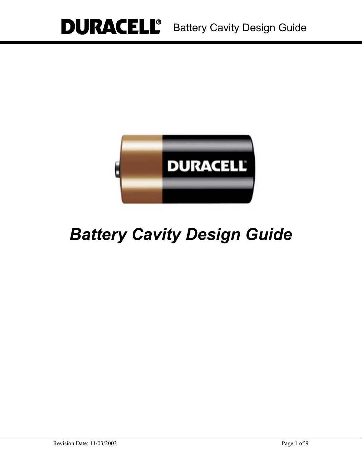

# *Battery Cavity Design Guide*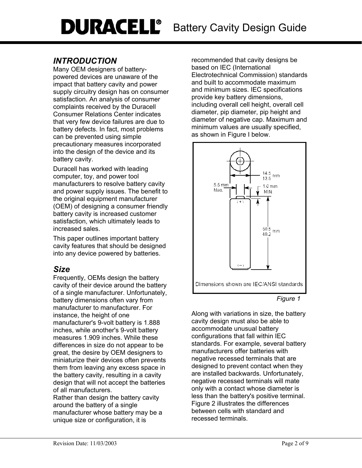# *INTRODUCTION*

Many OEM designers of batterypowered devices are unaware of the impact that battery cavity and power supply circuitry design has on consumer satisfaction. An analysis of consumer complaints received by the Duracell Consumer Relations Center indicates that very few device failures are due to battery defects. In fact, most problems can be prevented using simple precautionary measures incorporated into the design of the device and its battery cavity.

Duracell has worked with leading computer, toy, and power tool manufacturers to resolve battery cavity and power supply issues. The benefit to the original equipment manufacturer (OEM) of designing a consumer friendly battery cavity is increased customer satisfaction, which ultimately leads to increased sales.

This paper outlines important battery cavity features that should be designed into any device powered by batteries.

# *Size*

Frequently, OEMs design the battery cavity of their device around the battery of a single manufacturer. Unfortunately, battery dimensions often vary from manufacturer to manufacturer. For instance, the height of one manufacturer's 9-volt battery is 1.888 inches, while another's 9-volt battery measures 1.909 inches. While these differences in size do not appear to be great, the desire by OEM designers to miniaturize their devices often prevents them from leaving any excess space in the battery cavity, resulting in a cavity design that will not accept the batteries of all manufacturers.

Rather than design the battery cavity around the battery of a single manufacturer whose battery may be a unique size or configuration, it is

recommended that cavity designs be based on IEC (International Electrotechnical Commission) standards and built to accommodate maximum and minimum sizes. IEC specifications provide key battery dimensions, including overall cell height, overall cell diameter, pip diameter, pip height and diameter of negative cap. Maximum and minimum values are usually specified, as shown in Figure I below.



*Figure 1* 

Along with variations in size, the battery cavity design must also be able to accommodate unusual battery configurations that fall within IEC standards. For example, several battery manufacturers offer batteries with negative recessed terminals that are designed to prevent contact when they are installed backwards. Unfortunately, negative recessed terminals will mate only with a contact whose diameter is less than the battery's positive terminal. Figure 2 illustrates the differences between cells with standard and recessed terminals.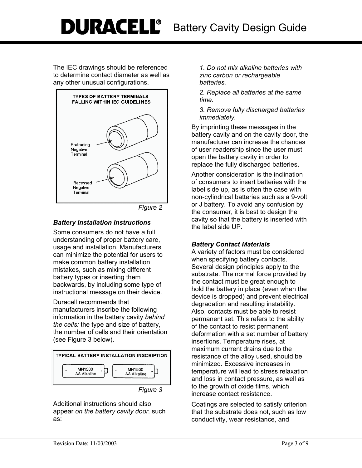# **DURACELL**<sup>®</sup> Battery Cavity Design Guide

The IEC drawings should be referenced to determine contact diameter as well as any other unusual configurations.



*Figure 2* 

## *Battery Installation Instructions*

Some consumers do not have a full understanding of proper battery care, usage and installation. Manufacturers can minimize the potential for users to make common battery installation mistakes, such as mixing different battery types or inserting them backwards, by including some type of instructional message on their device.

Duracell recommends that manufacturers inscribe the following information in the battery cavity *behind the cells:* the type and size of battery, the number of cells and their orientation (see Figure 3 below).



Additional instructions should also appear *on the battery cavity door,* such as:

*1. Do not mix alkaline batteries with zinc carbon or rechargeable batteries.* 

*2. Replace all batteries at the same time.* 

*3. Remove fully discharged batteries immediately.* 

By imprinting these messages in the battery cavity and on the cavity door, the manufacturer can increase the chances of user readership since the user must open the battery cavity in order to replace the fully discharged batteries.

Another consideration is the inclination of consumers to insert batteries with the label side up, as is often the case with non-cylindrical batteries such as a 9-volt or J battery. To avoid any confusion by the consumer, it is best to design the cavity so that the battery is inserted with the label side UP.

## *Battery Contact Materials*

A variety of factors must be considered when specifying battery contacts. Several design principles apply to the substrate. The normal force provided by the contact must be great enough to hold the battery in place (even when the device is dropped) and prevent electrical degradation and resulting instability. Also, contacts must be able to resist permanent set. This refers to the ability of the contact to resist permanent deformation with a set number of battery insertions. Temperature rises, at maximum current drains due to the resistance of the alloy used, should be minimized. Excessive increases in temperature will lead to stress relaxation and loss in contact pressure, as well as to the growth of oxide films, which increase contact resistance.

Coatings are selected to satisfy criterion that the substrate does not, such as low conductivity, wear resistance, and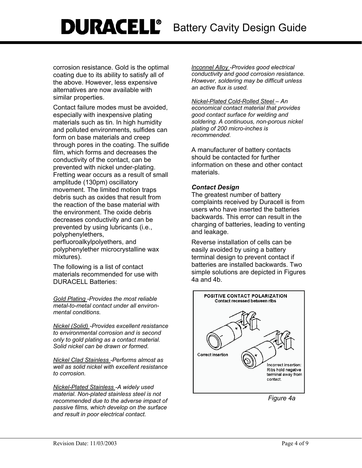# **DURACELL**<sup>®</sup> Battery Cavity Design Guide

corrosion resistance. Gold is the optimal coating due to its ability to satisfy all of the above. However, less expensive alternatives are now available with similar properties.

Contact failure modes must be avoided, especially with inexpensive plating materials such as tin. In high humidity and polluted environments, sulfides can form on base materials and creep through pores in the coating. The sulfide film, which forms and decreases the conductivity of the contact, can be prevented with nickel under-plating. Fretting wear occurs as a result of small amplitude (130pm) oscillatory movement. The limited motion traps debris such as oxides that result from the reaction of the base material with the environment. The oxide debris decreases conductivity and can be prevented by using lubricants (i.e., polyphenylethers,

perfluoroalkylpolyethers, and polyphenylether microcrystalline wax mixtures).

The following is a list of contact materials recommended for use with DURACELL Batteries:

*Gold Plating -Provides the most reliable metal-to-metal contact under all environmental conditions.* 

*Nickel (Solid) -Provides excellent resistance to environmental corrosion and is second only to gold plating as a contact material. Solid nickel can be drawn or formed.* 

*Nickel Clad Stainless -Performs almost as well as solid nickel with excellent resistance to corrosion.* 

*Nickel-Plated Stainless -A widely used material. Non-plated stainless steel is not recommended due to the adverse impact of passive films, which develop on the surface and result in poor electrical contact.* 

*lnconnel Alloy -Provides good electrical conductivity and good corrosion resistance. However, soldering may be difficult unless an active flux is used.* 

*Nickel-Plated Cold-Rolled Steel – An economical contact material that provides good contact surface for welding and soldering. A continuous, non-porous nickel plating of 200 micro-inches is recommended.* 

A manufacturer of battery contacts should be contacted for further information on these and other contact materials.

### *Contact Design*

The greatest number of battery complaints received by Duracell is from users who have inserted the batteries backwards. This error can result in the charging of batteries, leading to venting and leakage.

Reverse installation of cells can be easily avoided by using a battery terminal design to prevent contact if batteries are installed backwards. Two simple solutions are depicted in Figures 4a and 4b.



*Figure 4a*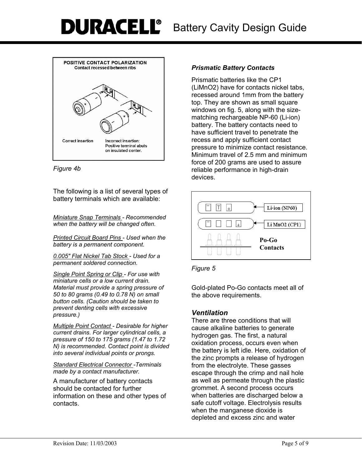

*Figure 4b* 

The following is a list of several types of battery terminals which are available:

*Miniature Snap Terminals - Recommended when the battery will be changed often.* 

*Printed Circuit Board Pins - Used when the battery is a permanent component.* 

*0.005" Flat Nickel Tab Stock - Used for a permanent soldered connection.* 

*Single Point Spring or Clip - For use with miniature cells or a low current drain. Material must provide a spring pressure of 50 to 80 grams (0.49 to 0.78 N) on small button cells. (Caution should be taken to prevent denting cells with excessive pressure.)* 

*Multiple Point Contact - Desirable for higher current drains. For larger cylindrical cells, a pressure of 150 to 175 grams (1.47 to 1.72 N) is recommended. Contact point is divided into several individual points or prongs.* 

*Standard Electrical Connector -Terminals made by a contact manufacturer.* 

A manufacturer of battery contacts should be contacted for further information on these and other types of contacts.

# *Prismatic Battery Contacts*

Prismatic batteries like the CP1 (LiMnO2) have for contacts nickel tabs, recessed around 1mm from the battery top. They are shown as small square windows on fig. 5, along with the sizematching rechargeable NP-60 (Li-ion) battery. The battery contacts need to have sufficient travel to penetrate the recess and apply sufficient contact pressure to minimize contact resistance. Minimum travel of 2.5 mm and minimum force of 200 grams are used to assure reliable performance in high-drain devices.





Gold-plated Po-Go contacts meet all of the above requirements.

# *Ventilation*

There are three conditions that will cause alkaline batteries to generate hydrogen gas. The first, a natural oxidation process, occurs even when the battery is left idle. Here, oxidation of the zinc prompts a release of hydrogen from the electrolyte. These gasses escape through the crimp and nail hole as well as permeate through the plastic grommet. A second process occurs when batteries are discharged below a safe cutoff voltage. Electrolysis results when the manganese dioxide is depleted and excess zinc and water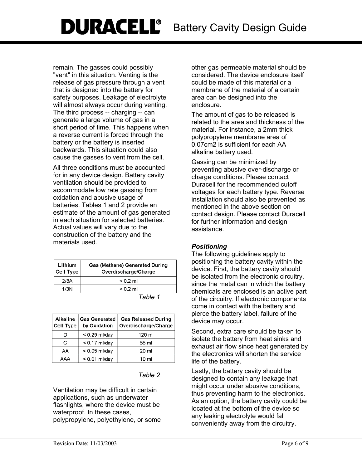remain. The gasses could possibly "vent" in this situation. Venting is the release of gas pressure through a vent that is designed into the battery for safety purposes. Leakage of electrolyte will almost always occur during venting. The third process -- charging -- can generate a large volume of gas in a short period of time. This happens when a reverse current is forced through the battery or the battery is inserted backwards. This situation could also cause the gasses to vent from the cell.

All three conditions must be accounted for in any device design. Battery cavity ventilation should be provided to accommodate low rate gassing from oxidation and abusive usage of batteries. Tables 1 and 2 provide an estimate of the amount of gas generated in each situation for selected batteries. Actual values will vary due to the construction of the battery and the materials used.

| Lithium<br>$ $ Cell Type | Gas (Methane) Generated During<br>Overdischarge/Charge |  |
|--------------------------|--------------------------------------------------------|--|
| 2/3A                     | $< 0.2$ ml                                             |  |
| 1/3N                     | $< 0.2$ ml                                             |  |
|                          | Table 1                                                |  |

| able |  |
|------|--|
|------|--|

| Alkaline<br>Cell Type | <b>Gas Generated</b><br>by Oxidation | <b>Gas Released During</b><br>Overdischarge/Charge |
|-----------------------|--------------------------------------|----------------------------------------------------|
| D                     | $<$ 0.29 ml/day                      | 120 ml                                             |
| C                     | $< 0.17$ ml/day                      | 55 ml                                              |
| AA                    | $<$ 0.05 ml/day                      | 20 ml                                              |
| AAA                   | $< 0.01$ ml/day                      | 10 ml                                              |
|                       |                                      |                                                    |

#### *Table 2*

Ventilation may be difficult in certain applications, such as underwater flashlights, where the device must be waterproof. In these cases, polypropylene, polyethylene, or some

other gas permeable material should be considered. The device enclosure itself could be made of this material or a membrane of the material of a certain area can be designed into the enclosure.

The amount of gas to be released is related to the area and thickness of the material. For instance, a 2mm thick polypropylene membrane area of 0.07cm2 is sufficient for each AA alkaline battery used.

Gassing can be minimized by preventing abusive over-discharge or charge conditions. Please contact Duracell for the recommended cutoff voltages for each battery type. Reverse installation should also be prevented as mentioned in the above section on contact design. Please contact Duracell for further information and design assistance.

#### *Positioning*

The following guidelines apply to positioning the battery cavity within the device. First, the battery cavity should be isolated from the electronic circuitry, since the metal can in which the battery chemicals are enclosed is an active part of the circuitry. If electronic components come in contact with the battery and pierce the battery label, failure of the device may occur.

Second, extra care should be taken to isolate the battery from heat sinks and exhaust air flow since heat generated by the electronics will shorten the service life of the battery.

Lastly, the battery cavity should be designed to contain any leakage that might occur under abusive conditions, thus preventing harm to the electronics. As an option, the battery cavity could be located at the bottom of the device so any leaking electrolyte would fall conveniently away from the circuitry.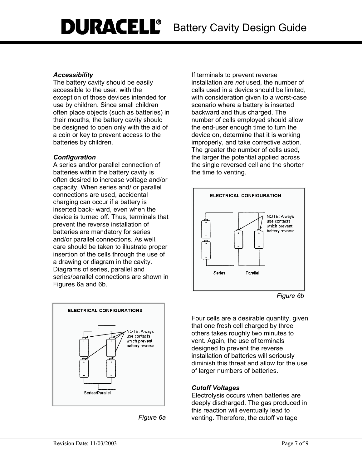## *Accessibility*

The battery cavity should be easily accessible to the user, with the exception of those devices intended for use by children. Since small children often place objects (such as batteries) in their mouths, the battery cavity should be designed to open only with the aid of a coin or key to prevent access to the batteries by children.

# *Configuration*

A series and/or parallel connection of batteries within the battery cavity is often desired to increase voltage and/or capacity. When series and/ or parallel connections are used, accidental charging can occur if a battery is inserted back- ward, even when the device is turned off. Thus, terminals that prevent the reverse installation of batteries are mandatory for series and/or parallel connections. As well, care should be taken to illustrate proper insertion of the cells through the use of a drawing or diagram in the cavity. Diagrams of series, parallel and series/parallel connections are shown in Figures 6a and 6b.



*Figure 6a* 

If terminals to prevent reverse installation are *not* used, the number of cells used in a device should be limited, with consideration given to a worst-case scenario where a battery is inserted backward and thus charged. The number of cells employed should allow the end-user enough time to turn the device on, determine that it is working improperly, and take corrective action. The greater the number of cells used, the larger the potential applied across the single reversed cell and the shorter the time to venting.



*Figure 6b* 

Four cells are a desirable quantity, given that one fresh cell charged by three others takes roughly two minutes to vent. Again, the use of terminals designed to prevent the reverse installation of batteries will seriously diminish this threat and allow for the use of larger numbers of batteries.

# *Cutoff Voltages*

Electrolysis occurs when batteries are deeply discharged. The gas produced in this reaction will eventually lead to venting. Therefore, the cutoff voltage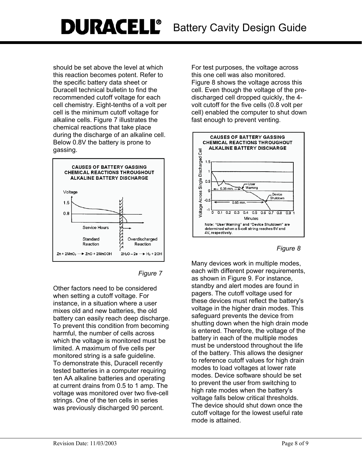should be set above the level at which this reaction becomes potent. Refer to the specific battery data sheet or Duracell technical bulletin to find the recommended cutoff voltage for each cell chemistry. Eight-tenths of a volt per cell is the minimum cutoff voltage for alkaline cells. Figure 7 illustrates the chemical reactions that take place during the discharge of an alkaline cell. Below 0.8V the battery is prone to gassing.



#### *Figure 7*

Other factors need to be considered when setting a cutoff voltage. For instance, in a situation where a user mixes old and new batteries, the old battery can easily reach deep discharge. To prevent this condition from becoming harmful, the number of cells across which the voltage is monitored must be limited. A maximum of five cells per monitored string is a safe guideline. To demonstrate this, Duracell recently tested batteries in a computer requiring ten AA alkaline batteries and operating at current drains from 0.5 to 1 amp. The voltage was monitored over two five-cell strings. One of the ten cells in series was previously discharged 90 percent.

For test purposes, the voltage across this one cell was also monitored. Figure 8 shows the voltage across this cell. Even though the voltage of the predischarged cell dropped quickly, the 4 volt cutoff for the five cells (0.8 volt per cell) enabled the computer to shut down fast enough to prevent venting.



#### *Figure 8*

Many devices work in multiple modes, each with different power requirements, as shown in Figure 9. For instance, standby and alert modes are found in pagers. The cutoff voltage used for these devices must reflect the battery's voltage in the higher drain modes. This safeguard prevents the device from shutting down when the high drain mode is entered. Therefore, the voltage of the battery in each of the multiple modes must be understood throughout the life of the battery. This allows the designer to reference cutoff values for high drain modes to load voltages at lower rate modes. Device software should be set to prevent the user from switching to high rate modes when the battery's voltage falls below critical thresholds. The device should shut down once the cutoff voltage for the lowest useful rate mode is attained.